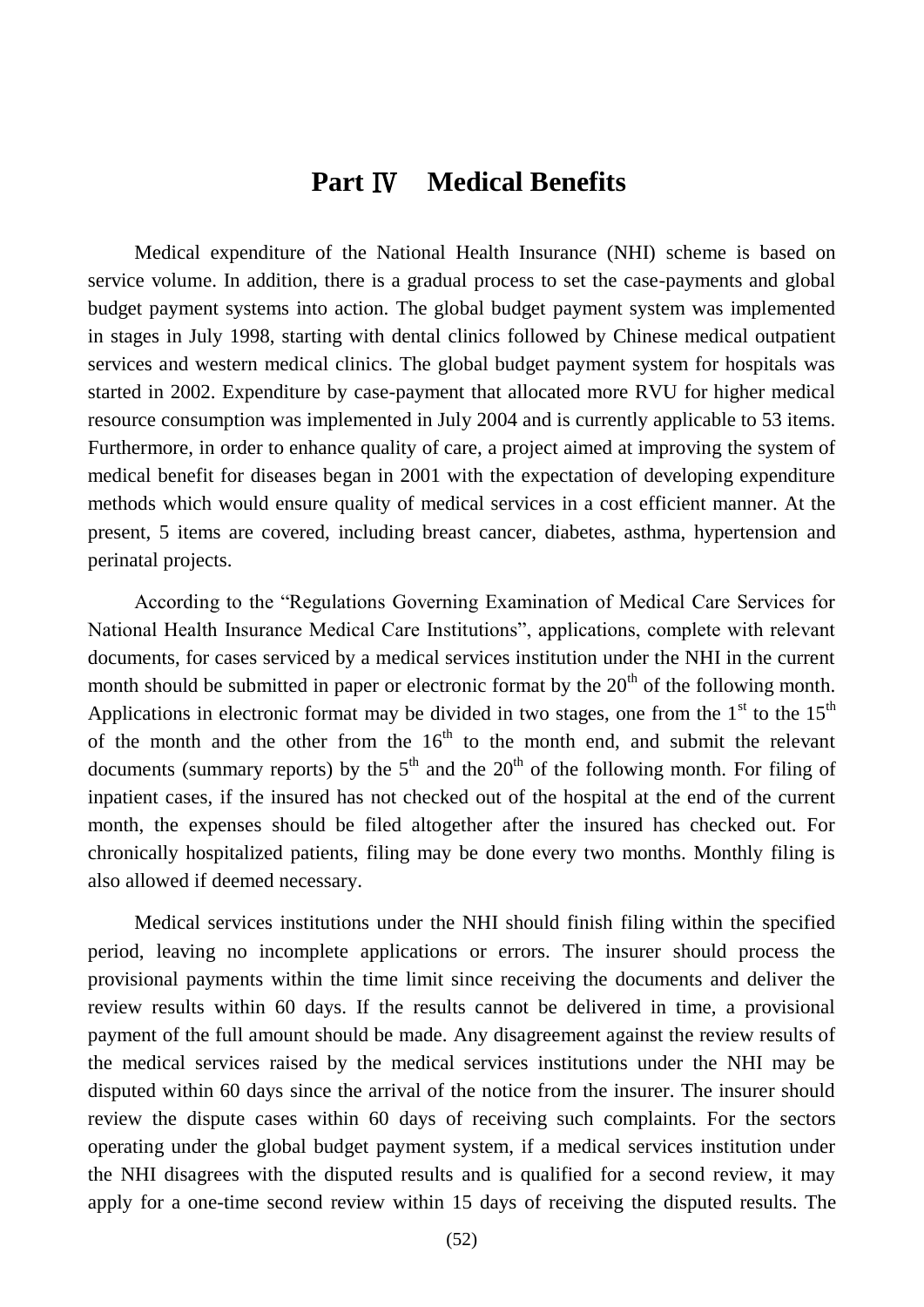# **Part** Ⅳ **Medical Benefits**

Medical expenditure of the National Health Insurance (NHI) scheme is based on service volume. In addition, there is a gradual process to set the case-payments and global budget payment systems into action. The global budget payment system was implemented in stages in July 1998, starting with dental clinics followed by Chinese medical outpatient services and western medical clinics. The global budget payment system for hospitals was started in 2002. Expenditure by case-payment that allocated more RVU for higher medical resource consumption was implemented in July 2004 and is currently applicable to 53 items. Furthermore, in order to enhance quality of care, a project aimed at improving the system of medical benefit for diseases began in 2001 with the expectation of developing expenditure methods which would ensure quality of medical services in a cost efficient manner. At the present, 5 items are covered, including breast cancer, diabetes, asthma, hypertension and perinatal projects.

According to the "Regulations Governing Examination of Medical Care Services for National Health Insurance Medical Care Institutions", applications, complete with relevant documents, for cases serviced by a medical services institution under the NHI in the current month should be submitted in paper or electronic format by the  $20<sup>th</sup>$  of the following month. Applications in electronic format may be divided in two stages, one from the  $1<sup>st</sup>$  to the  $15<sup>th</sup>$ of the month and the other from the  $16<sup>th</sup>$  to the month end, and submit the relevant documents (summary reports) by the  $5<sup>th</sup>$  and the 20<sup>th</sup> of the following month. For filing of inpatient cases, if the insured has not checked out of the hospital at the end of the current month, the expenses should be filed altogether after the insured has checked out. For chronically hospitalized patients, filing may be done every two months. Monthly filing is also allowed if deemed necessary.

Medical services institutions under the NHI should finish filing within the specified period, leaving no incomplete applications or errors. The insurer should process the provisional payments within the time limit since receiving the documents and deliver the review results within 60 days. If the results cannot be delivered in time, a provisional payment of the full amount should be made. Any disagreement against the review results of the medical services raised by the medical services institutions under the NHI may be disputed within 60 days since the arrival of the notice from the insurer. The insurer should review the dispute cases within 60 days of receiving such complaints. For the sectors operating under the global budget payment system, if a medical services institution under the NHI disagrees with the disputed results and is qualified for a second review, it may apply for a one-time second review within 15 days of receiving the disputed results. The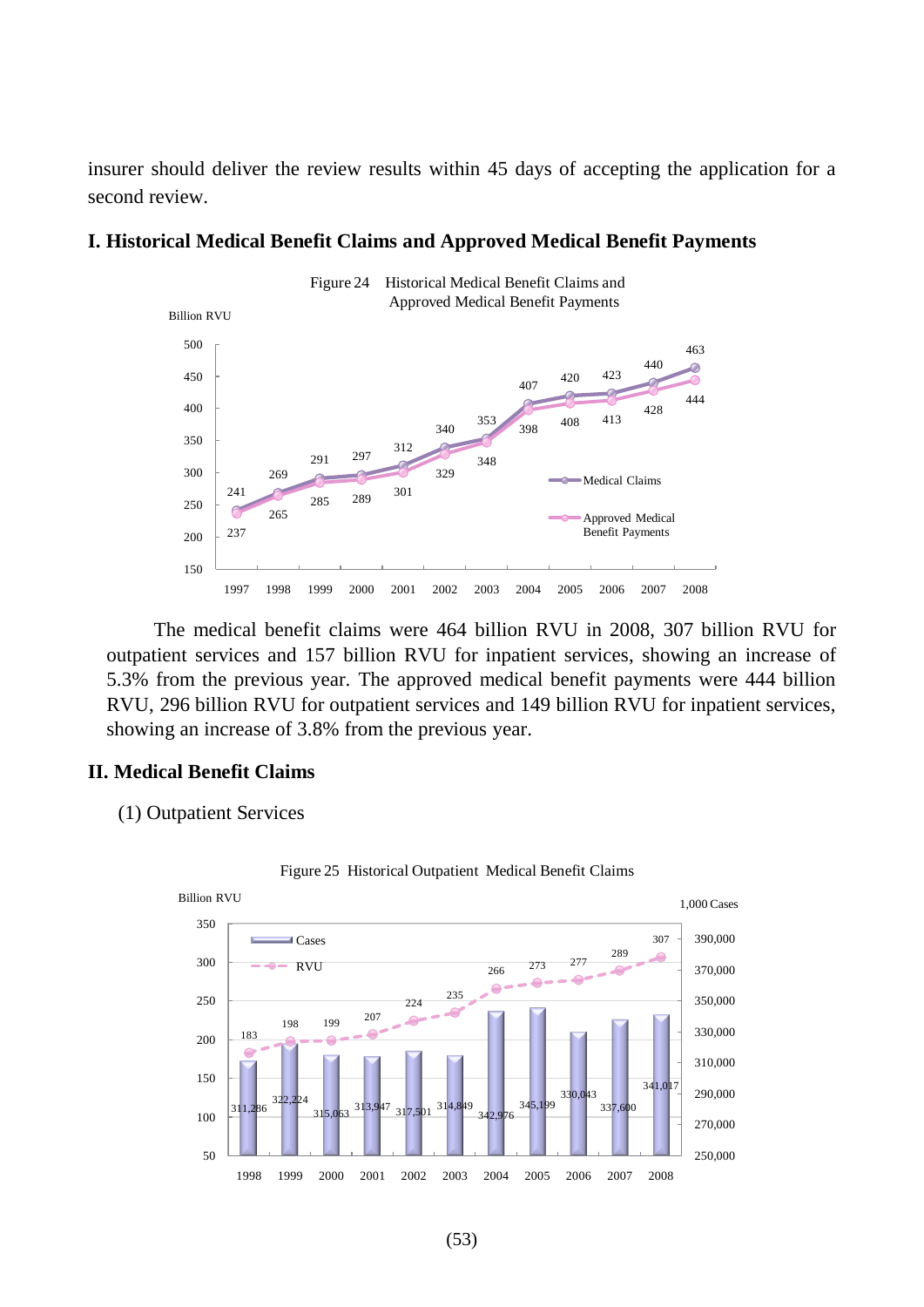insurer should deliver the review results within 45 days of accepting the application for a second review.



# **I. Historical Medical Benefit Claims and Approved Medical Benefit Payments**

The medical benefit claims were 464 billion RVU in 2008, 307 billion RVU for outpatient services and 157 billion RVU for inpatient services, showing an increase of 5.3% from the previous year. The approved medical benefit payments were 444 billion RVU, 296 billion RVU for outpatient services and 149 billion RVU for inpatient services, showing an increase of 3.8% from the previous year.

### **II. Medical Benefit Claims**

(1) Outpatient Services



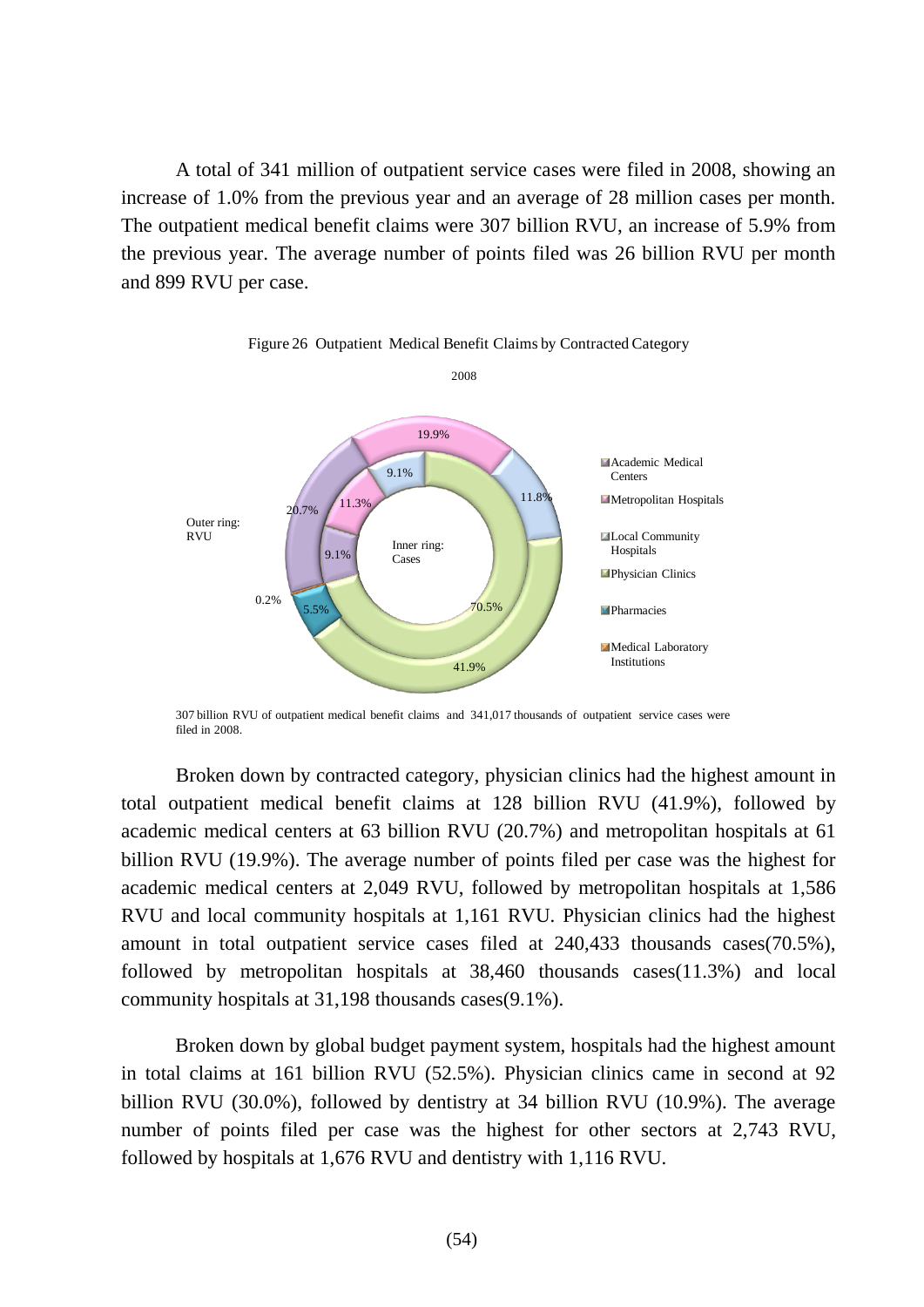A total of 341 million of outpatient service cases were filed in 2008, showing an increase of 1.0% from the previous year and an average of 28 million cases per month. The outpatient medical benefit claims were 307 billion RVU, an increase of 5.9% from the previous year. The average number of points filed was 26 billion RVU per month and 899 RVU per case.



Figure 26 Outpatient Medical Benefit Claims by Contracted Category

307 billion RVU of outpatient medical benefit claims and 341,017 thousands of outpatient service cases were filed in 2008.

Broken down by contracted category, physician clinics had the highest amount in total outpatient medical benefit claims at 128 billion RVU (41.9%), followed by academic medical centers at 63 billion RVU (20.7%) and metropolitan hospitals at 61 billion RVU (19.9%). The average number of points filed per case was the highest for academic medical centers at 2,049 RVU, followed by metropolitan hospitals at 1,586 RVU and local community hospitals at 1,161 RVU. Physician clinics had the highest amount in total outpatient service cases filed at 240,433 thousands cases(70.5%), followed by metropolitan hospitals at 38,460 thousands cases(11.3%) and local community hospitals at 31,198 thousands cases(9.1%).

Broken down by global budget payment system, hospitals had the highest amount in total claims at 161 billion RVU (52.5%). Physician clinics came in second at 92 billion RVU (30.0%), followed by dentistry at 34 billion RVU (10.9%). The average number of points filed per case was the highest for other sectors at 2,743 RVU, followed by hospitals at 1,676 RVU and dentistry with 1,116 RVU.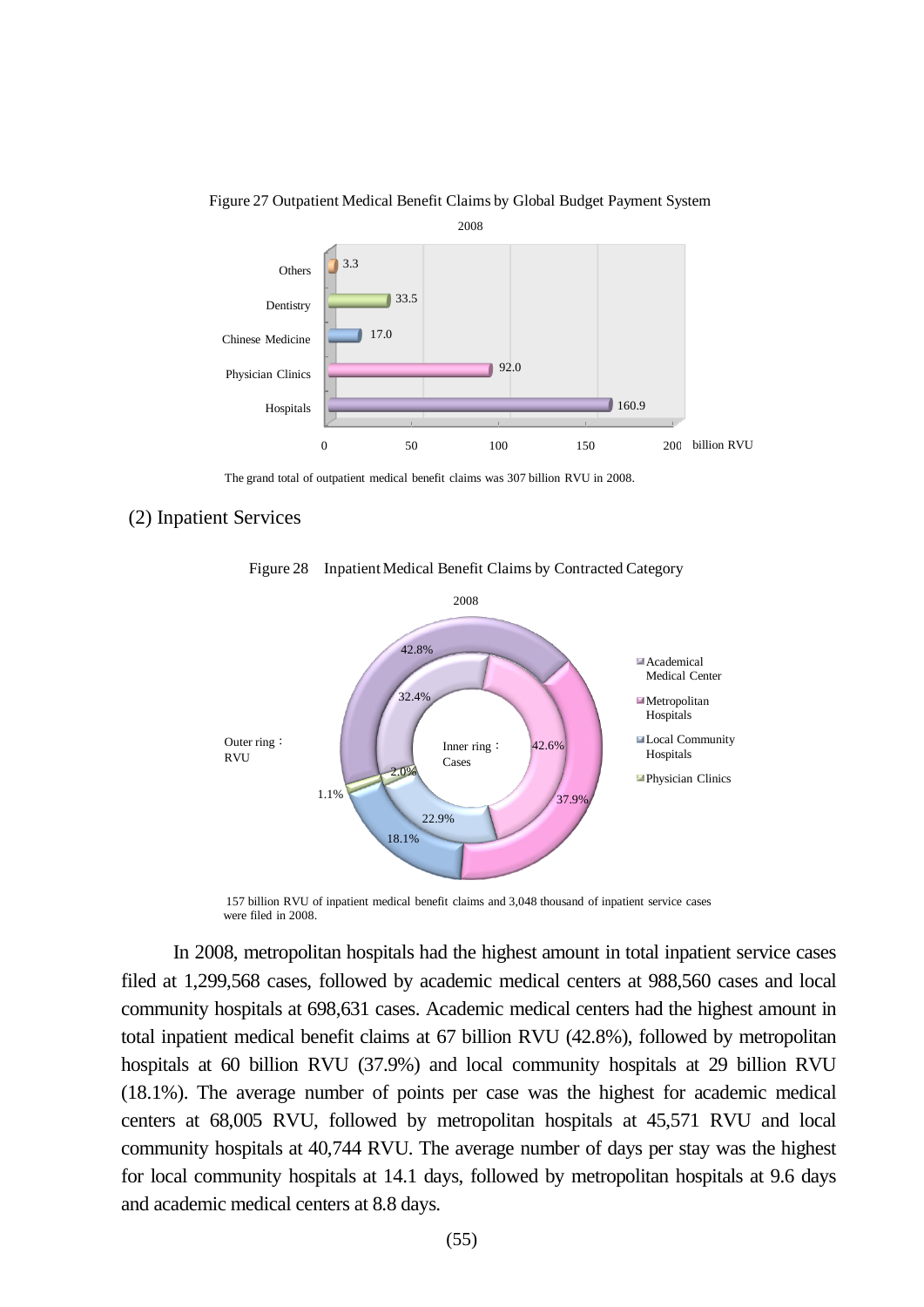

#### Figure 27 Outpatient Medical Benefit Claims by Global Budget Payment System

The grand total of outpatient medical benefit claims was 307 billion RVU in 2008.

#### (2) Inpatient Services



Figure 28 Inpatient Medical Benefit Claims by Contracted Category

157 billion RVU of inpatient medical benefit claims and 3,048 thousand of inpatient service cases were filed in 2008.

In 2008, metropolitan hospitals had the highest amount in total inpatient service cases filed at 1,299,568 cases, followed by academic medical centers at 988,560 cases and local community hospitals at 698,631 cases. Academic medical centers had the highest amount in total inpatient medical benefit claims at 67 billion RVU (42.8%), followed by metropolitan hospitals at 60 billion RVU (37.9%) and local community hospitals at 29 billion RVU (18.1%). The average number of points per case was the highest for academic medical centers at 68,005 RVU, followed by metropolitan hospitals at 45,571 RVU and local community hospitals at 40,744 RVU. The average number of days per stay was the highest for local community hospitals at 14.1 days, followed by metropolitan hospitals at 9.6 days and academic medical centers at 8.8 days.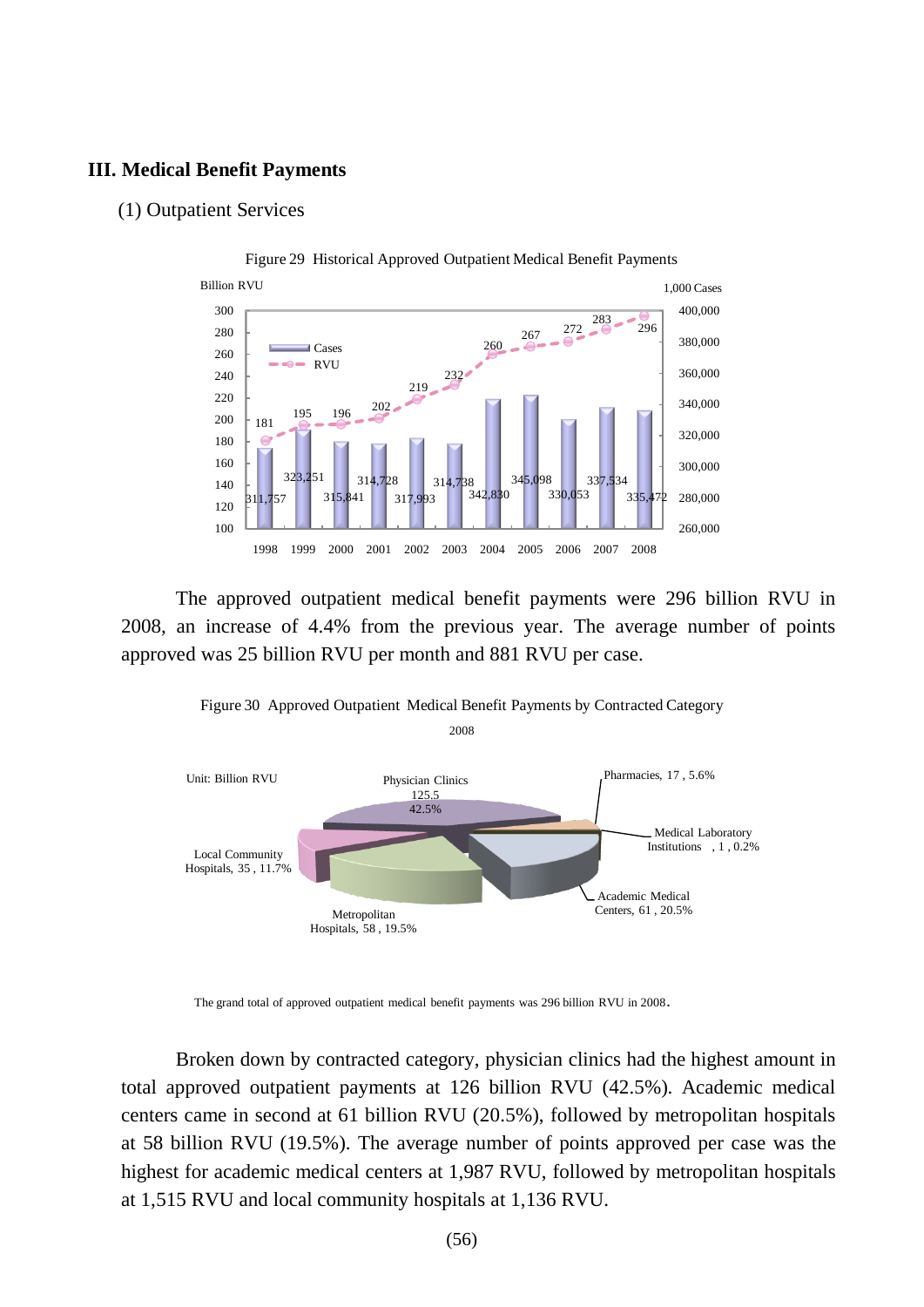## **III. Medical Benefit Payments**

#### (1) Outpatient Services



The approved outpatient medical benefit payments were 296 billion RVU in 2008, an increase of 4.4% from the previous year. The average number of points approved was 25 billion RVU per month and 881 RVU per case.



Figure 30 Approved Outpatient Medical Benefit Payments by Contracted Category

Broken down by contracted category, physician clinics had the highest amount in total approved outpatient payments at 126 billion RVU (42.5%). Academic medical centers came in second at 61 billion RVU (20.5%), followed by metropolitan hospitals at 58 billion RVU (19.5%). The average number of points approved per case was the highest for academic medical centers at 1,987 RVU, followed by metropolitan hospitals at 1,515 RVU and local community hospitals at 1,136 RVU.

The grand total of approved outpatient medical benefit payments was 296 billion RVU in 2008.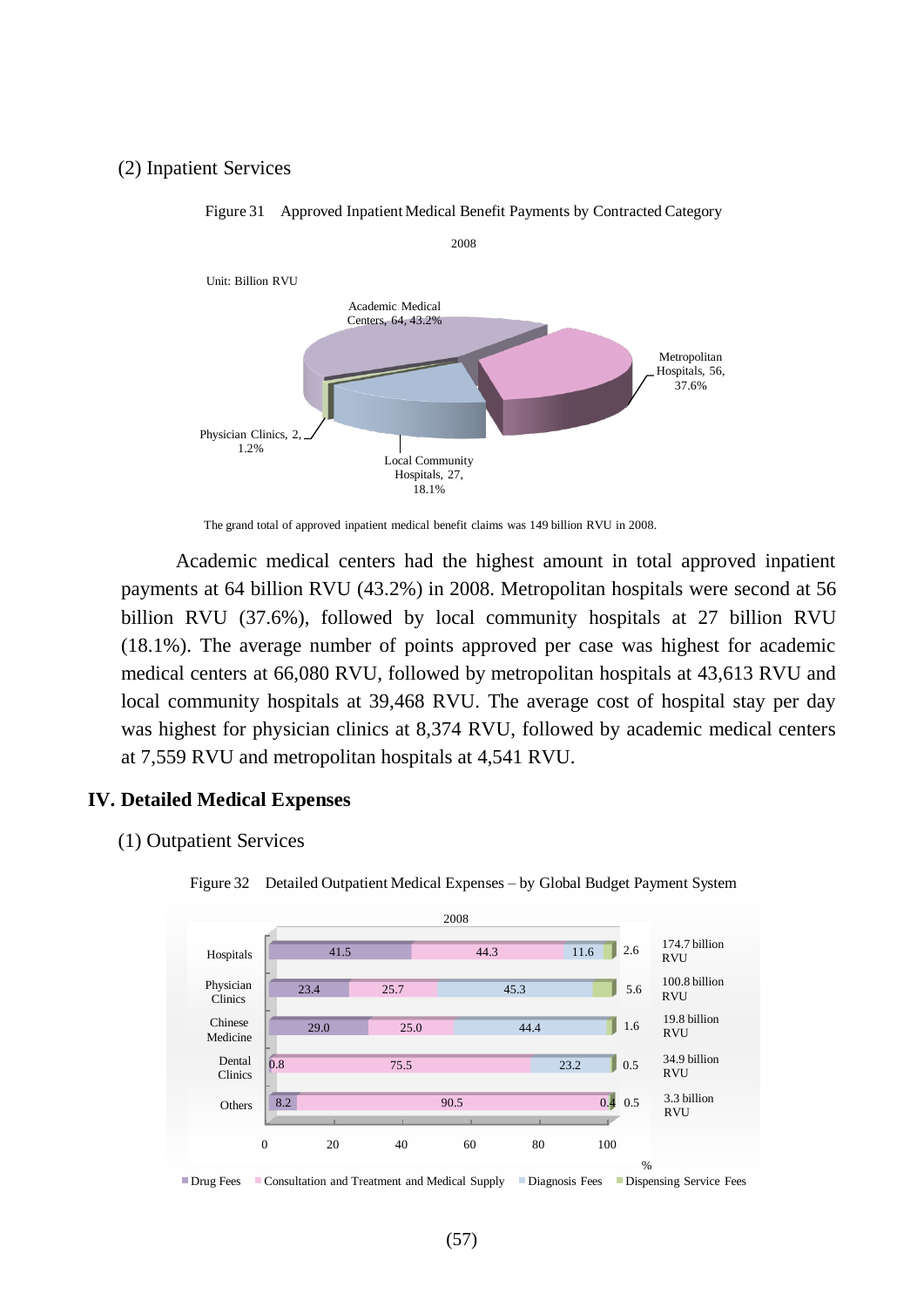# (2) Inpatient Services



Figure 31 Approved Inpatient Medical Benefit Payments by Contracted Category

The grand total of approved inpatient medical benefit claims was 149 billion RVU in 2008.

Academic medical centers had the highest amount in total approved inpatient payments at 64 billion RVU (43.2%) in 2008. Metropolitan hospitals were second at 56 billion RVU (37.6%), followed by local community hospitals at 27 billion RVU (18.1%). The average number of points approved per case was highest for academic medical centers at 66,080 RVU, followed by metropolitan hospitals at 43,613 RVU and local community hospitals at 39,468 RVU. The average cost of hospital stay per day was highest for physician clinics at 8,374 RVU, followed by academic medical centers at 7,559 RVU and metropolitan hospitals at 4,541 RVU.

# **IV. Detailed Medical Expenses**

(1) Outpatient Services



Figure 32 Detailed Outpatient Medical Expenses – by Global Budget Payment System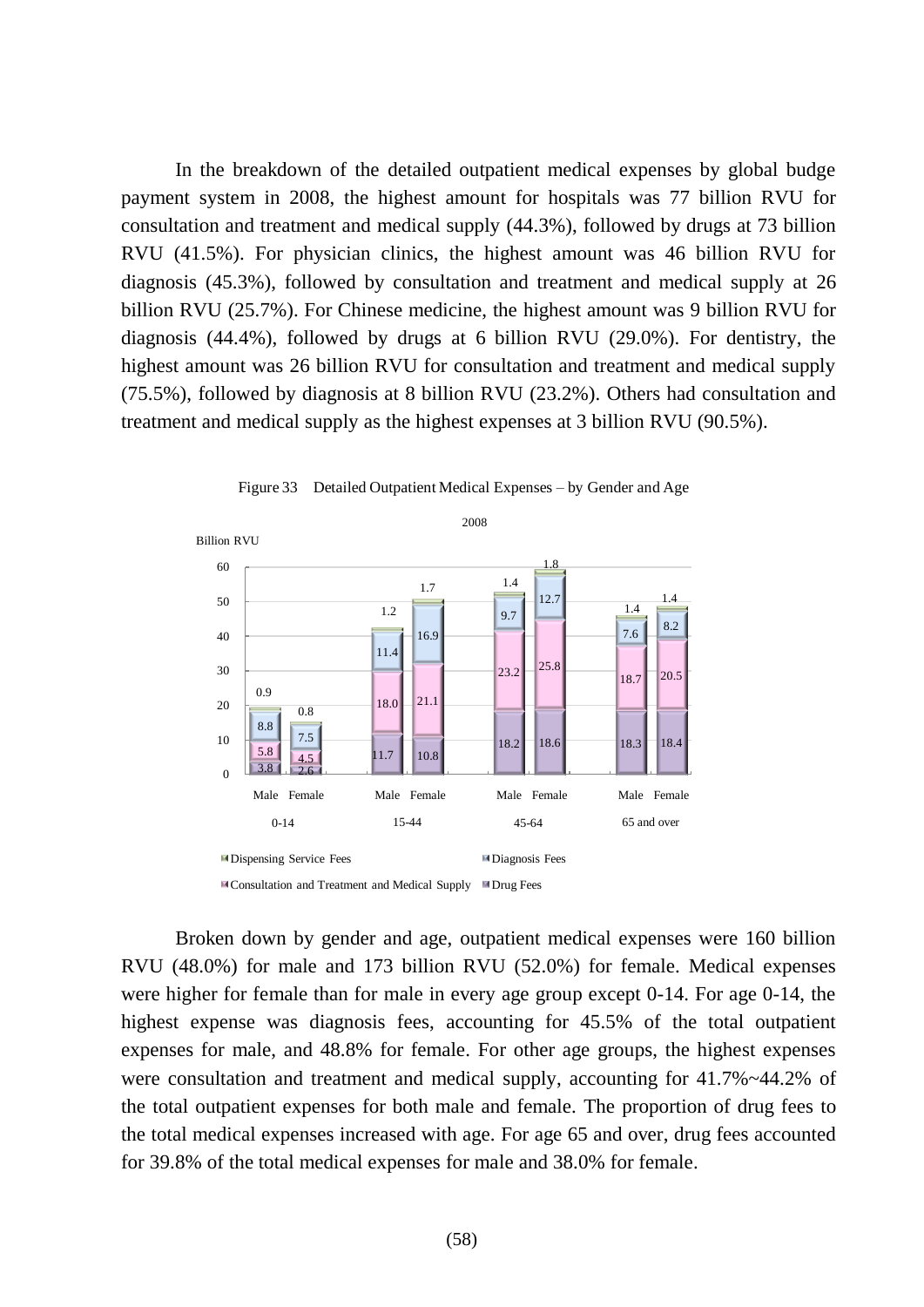In the breakdown of the detailed outpatient medical expenses by global budge payment system in 2008, the highest amount for hospitals was 77 billion RVU for consultation and treatment and medical supply (44.3%), followed by drugs at 73 billion RVU (41.5%). For physician clinics, the highest amount was 46 billion RVU for diagnosis (45.3%), followed by consultation and treatment and medical supply at 26 billion RVU (25.7%). For Chinese medicine, the highest amount was 9 billion RVU for diagnosis (44.4%), followed by drugs at 6 billion RVU (29.0%). For dentistry, the highest amount was 26 billion RVU for consultation and treatment and medical supply (75.5%), followed by diagnosis at 8 billion RVU (23.2%). Others had consultation and treatment and medical supply as the highest expenses at 3 billion RVU (90.5%).





■ Consultation and Treatment and Medical Supply ■ Drug Fees

Broken down by gender and age, outpatient medical expenses were 160 billion RVU (48.0%) for male and 173 billion RVU (52.0%) for female. Medical expenses were higher for female than for male in every age group except 0-14. For age 0-14, the highest expense was diagnosis fees, accounting for 45.5% of the total outpatient expenses for male, and 48.8% for female. For other age groups, the highest expenses were consultation and treatment and medical supply, accounting for 41.7%~44.2% of the total outpatient expenses for both male and female. The proportion of drug fees to the total medical expenses increased with age. For age 65 and over, drug fees accounted for 39.8% of the total medical expenses for male and 38.0% for female.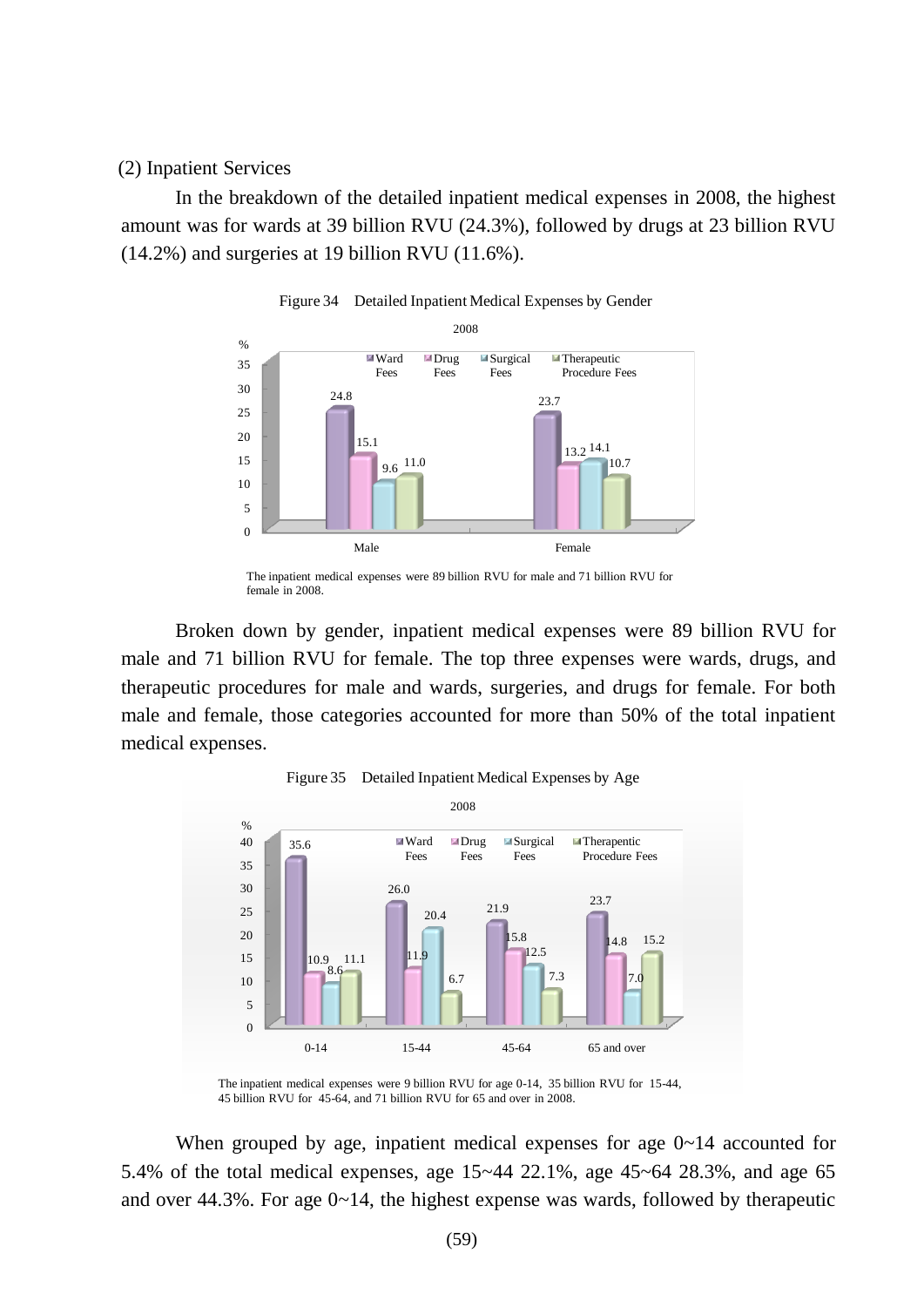#### (2) Inpatient Services

In the breakdown of the detailed inpatient medical expenses in 2008, the highest amount was for wards at 39 billion RVU (24.3%), followed by drugs at 23 billion RVU  $(14.2\%)$  and surgeries at 19 billion RVU  $(11.6\%).$ 



Figure 34 Detailed Inpatient Medical Expenses by Gender

Broken down by gender, inpatient medical expenses were 89 billion RVU for male and 71 billion RVU for female. The top three expenses were wards, drugs, and therapeutic procedures for male and wards, surgeries, and drugs for female. For both male and female, those categories accounted for more than 50% of the total inpatient medical expenses.





When grouped by age, inpatient medical expenses for age  $0\nu$ -14 accounted for 5.4% of the total medical expenses, age 15~44 22.1%, age 45~64 28.3%, and age 65 and over 44.3%. For age 0~14, the highest expense was wards, followed by therapeutic

The inpatient medical expenses were 89 billion RVU for male and 71 billion RVU for female in 2008.

The inpatient medical expenses were 9 billion RVU for age 0-14, 35 billion RVU for 15-44, 45 billion RVU for 45-64, and 71 billion RVU for 65 and over in 2008.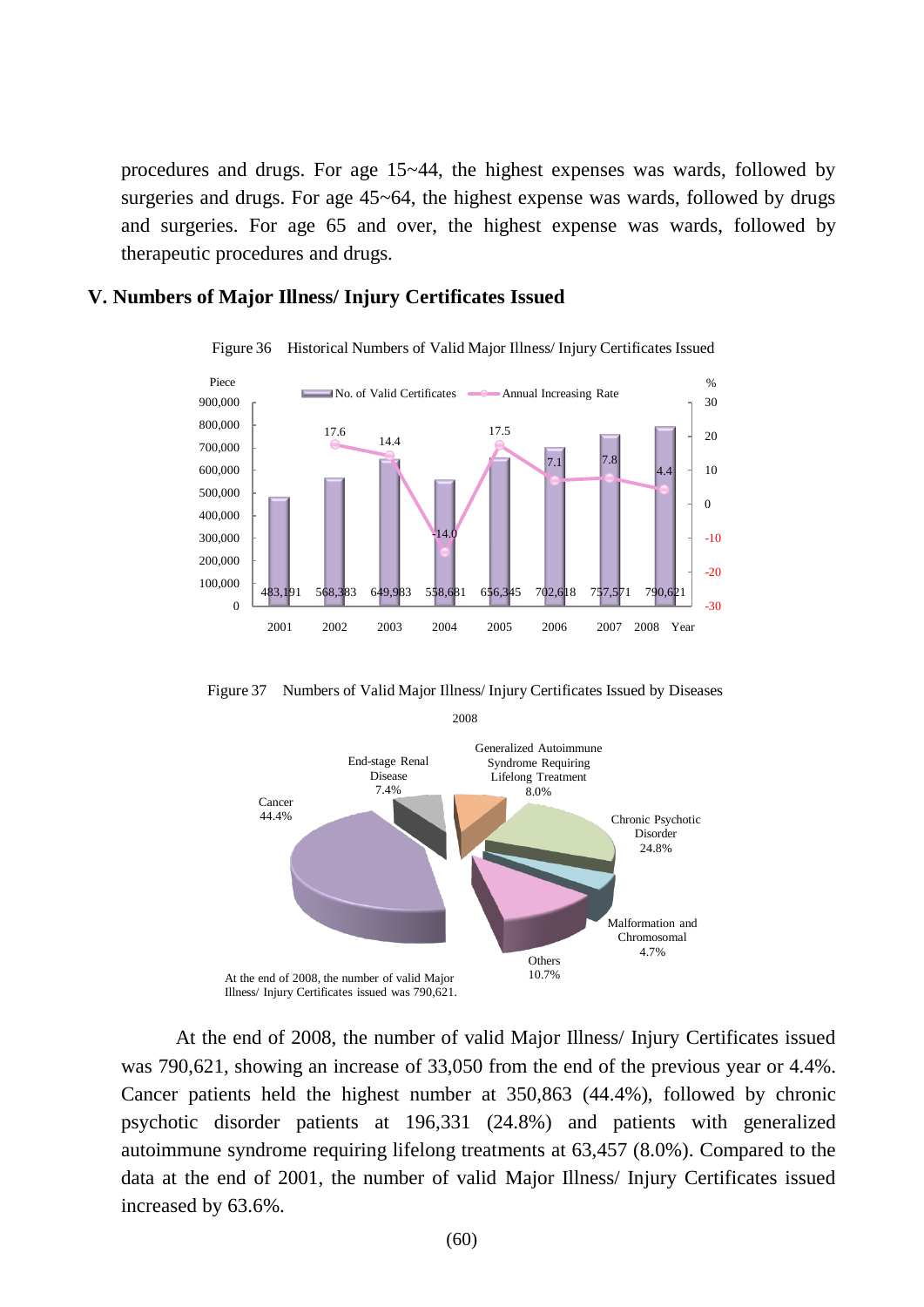procedures and drugs. For age 15~44, the highest expenses was wards, followed by surgeries and drugs. For age 45~64, the highest expense was wards, followed by drugs and surgeries. For age 65 and over, the highest expense was wards, followed by therapeutic procedures and drugs.

## **V. Numbers of Major Illness/ Injury Certificates Issued**



Figure 36 Historical Numbers of Valid Major Illness/ Injury Certificates Issued

Figure 37 Numbers of Valid Major Illness/ Injury Certificates Issued by Diseases



At the end of 2008, the number of valid Major Illness/ Injury Certificates issued was 790,621, showing an increase of 33,050 from the end of the previous year or 4.4%. Cancer patients held the highest number at 350,863 (44.4%), followed by chronic psychotic disorder patients at 196,331 (24.8%) and patients with generalized autoimmune syndrome requiring lifelong treatments at 63,457 (8.0%). Compared to the data at the end of 2001, the number of valid Major Illness/ Injury Certificates issued increased by 63.6%.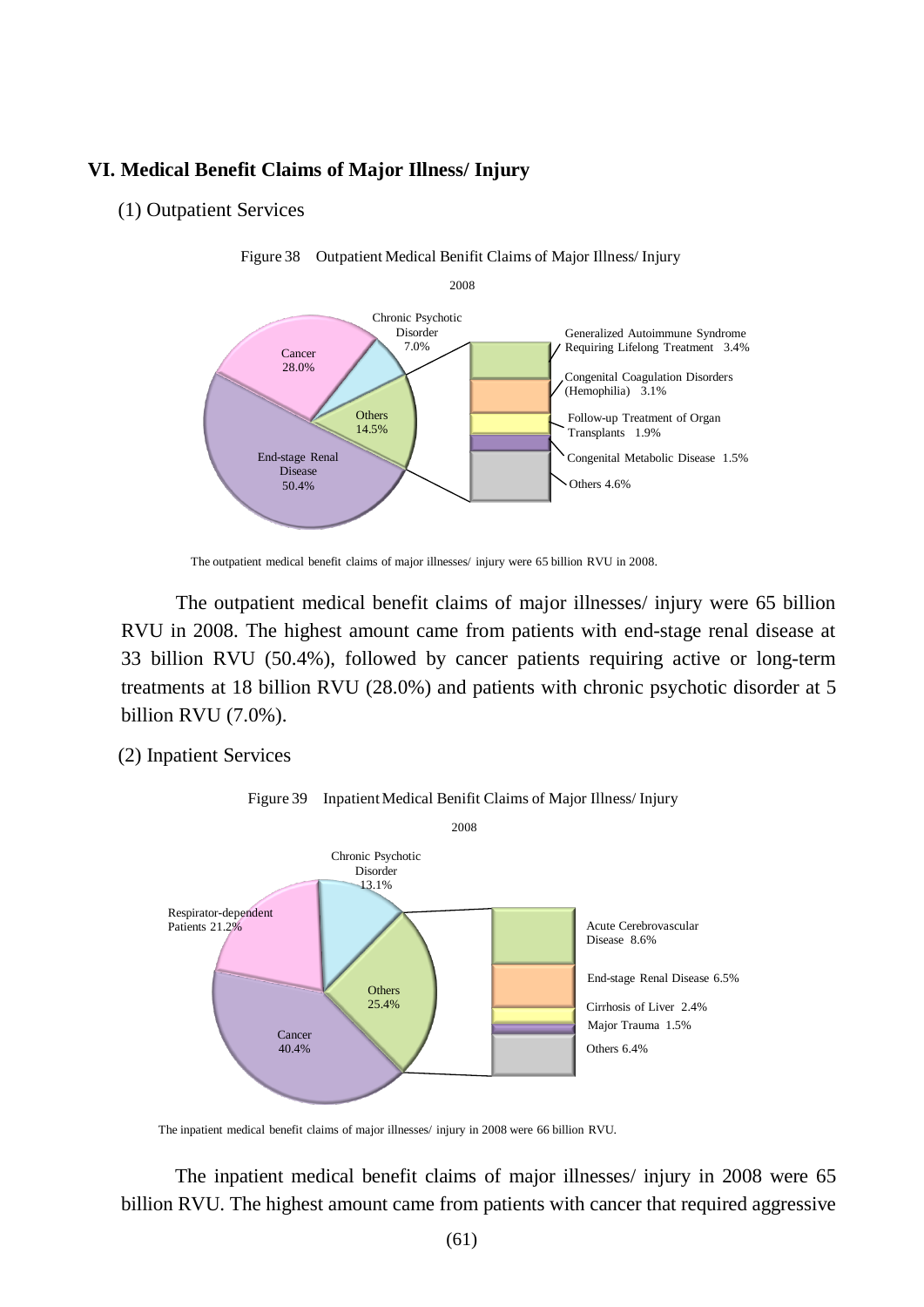# **VI. Medical Benefit Claims of Major Illness/ Injury**

(1) Outpatient Services



Figure 38 Outpatient Medical Benifit Claims of Major Illness/ Injury

The outpatient medical benefit claims of major illnesses/ injury were 65 billion RVU in 2008. The highest amount came from patients with end-stage renal disease at 33 billion RVU (50.4%), followed by cancer patients requiring active or long-term treatments at 18 billion RVU (28.0%) and patients with chronic psychotic disorder at 5 billion RVU (7.0%).

(2) Inpatient Services



Figure 39 Inpatient Medical Benifit Claims of Major Illness/ Injury

The inpatient medical benefit claims of major illnesses/ injury in 2008 were 65 billion RVU. The highest amount came from patients with cancer that required aggressive

The outpatient medical benefit claims of major illnesses/ injury were 65 billion RVU in 2008.

The inpatient medical benefit claims of major illnesses/ injury in 2008 were 66 billion RVU.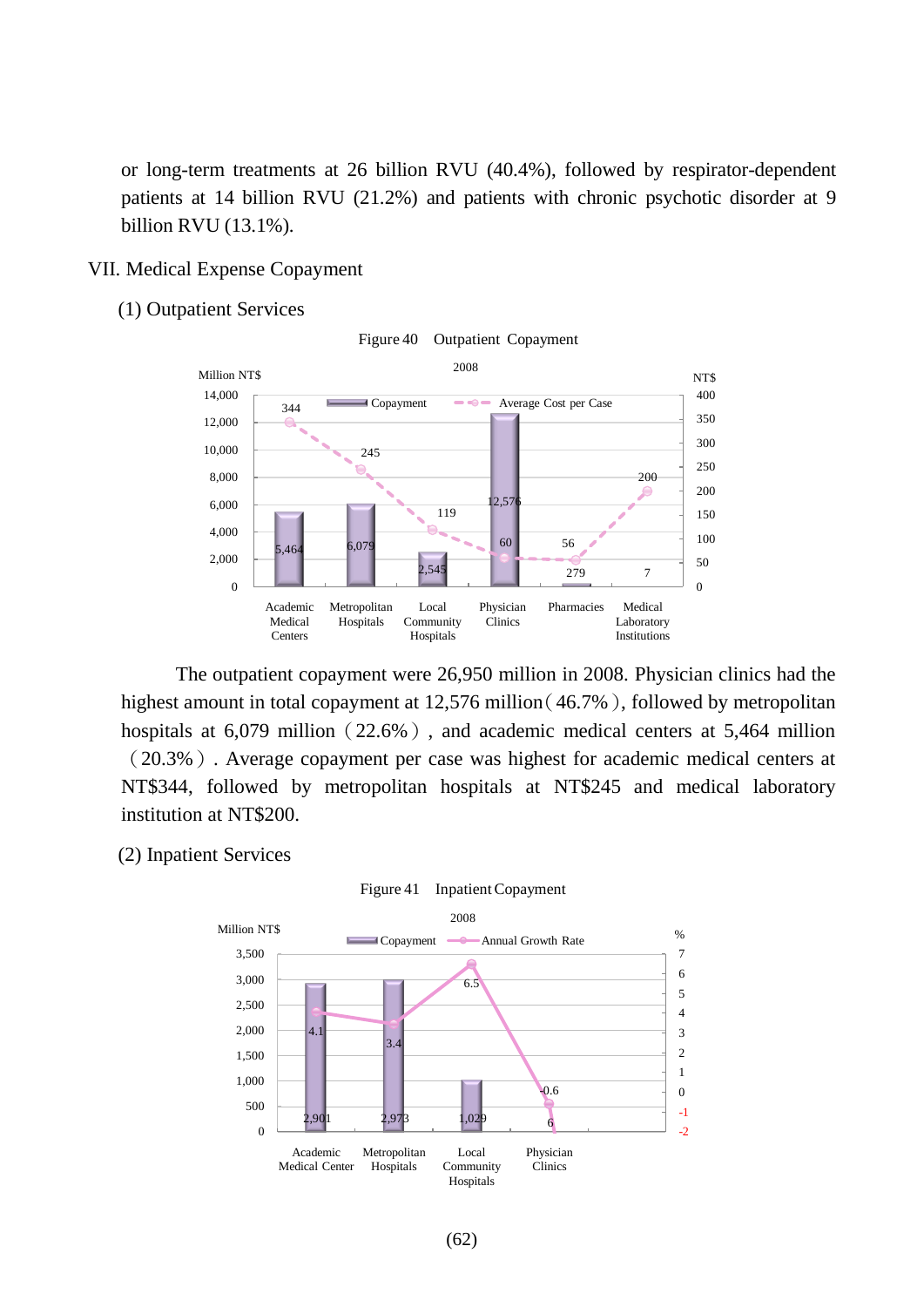or long-term treatments at 26 billion RVU (40.4%), followed by respirator-dependent patients at 14 billion RVU (21.2%) and patients with chronic psychotic disorder at 9 billion RVU (13.1%).

### VII. Medical Expense Copayment

(1) Outpatient Services



Figure 40 Outpatient Copayment

The outpatient copayment were 26,950 million in 2008. Physician clinics had the highest amount in total copayment at 12,576 million (46.7%), followed by metropolitan hospitals at  $6,079$  million (22.6%), and academic medical centers at 5,464 million (20.3%). Average copayment per case was highest for academic medical centers at NT\$344, followed by metropolitan hospitals at NT\$245 and medical laboratory institution at NT\$200.

#### (2) Inpatient Services

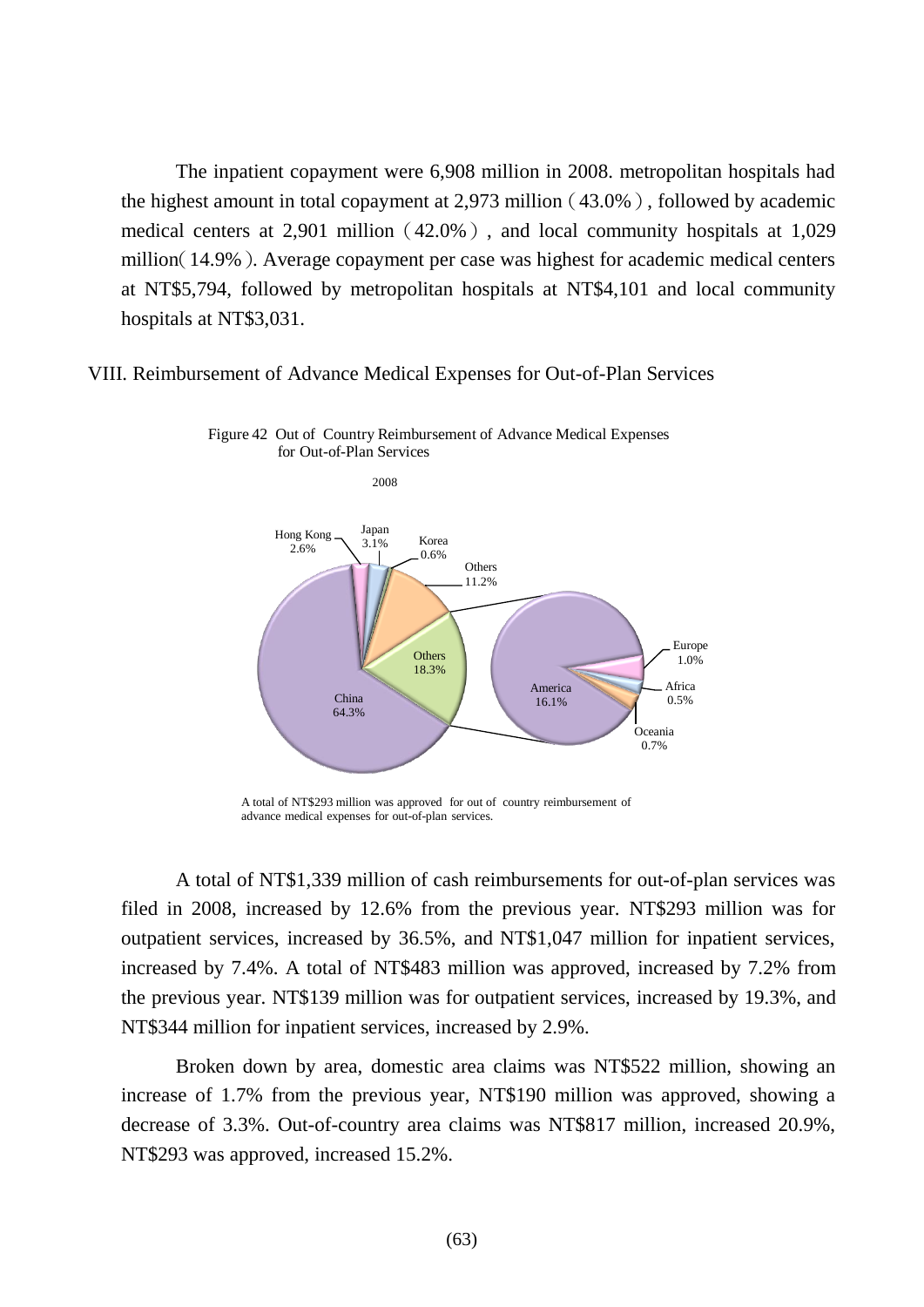The inpatient copayment were 6,908 million in 2008. metropolitan hospitals had the highest amount in total copayment at  $2,973$  million (43.0%), followed by academic medical centers at  $2,901$  million (42.0%), and local community hospitals at 1,029 million(14.9%). Average copayment per case was highest for academic medical centers at NT\$5,794, followed by metropolitan hospitals at NT\$4,101 and local community hospitals at NT\$3,031.

### VIII. Reimbursement of Advance Medical Expenses for Out-of-Plan Services





A total of NT\$1,339 million of cash reimbursements for out-of-plan services was filed in 2008, increased by 12.6% from the previous year. NT\$293 million was for outpatient services, increased by 36.5%, and NT\$1,047 million for inpatient services, increased by 7.4%. A total of NT\$483 million was approved, increased by 7.2% from the previous year. NT\$139 million was for outpatient services, increased by 19.3%, and NT\$344 million for inpatient services, increased by 2.9%.

Broken down by area, domestic area claims was NT\$522 million, showing an increase of 1.7% from the previous year, NT\$190 million was approved, showing a decrease of 3.3%. Out-of-country area claims was NT\$817 million, increased 20.9%, NT\$293 was approved, increased 15.2%.

A total of NT\$293 million was approved for out of country reimbursement of advance medical expenses for out-of-plan services.